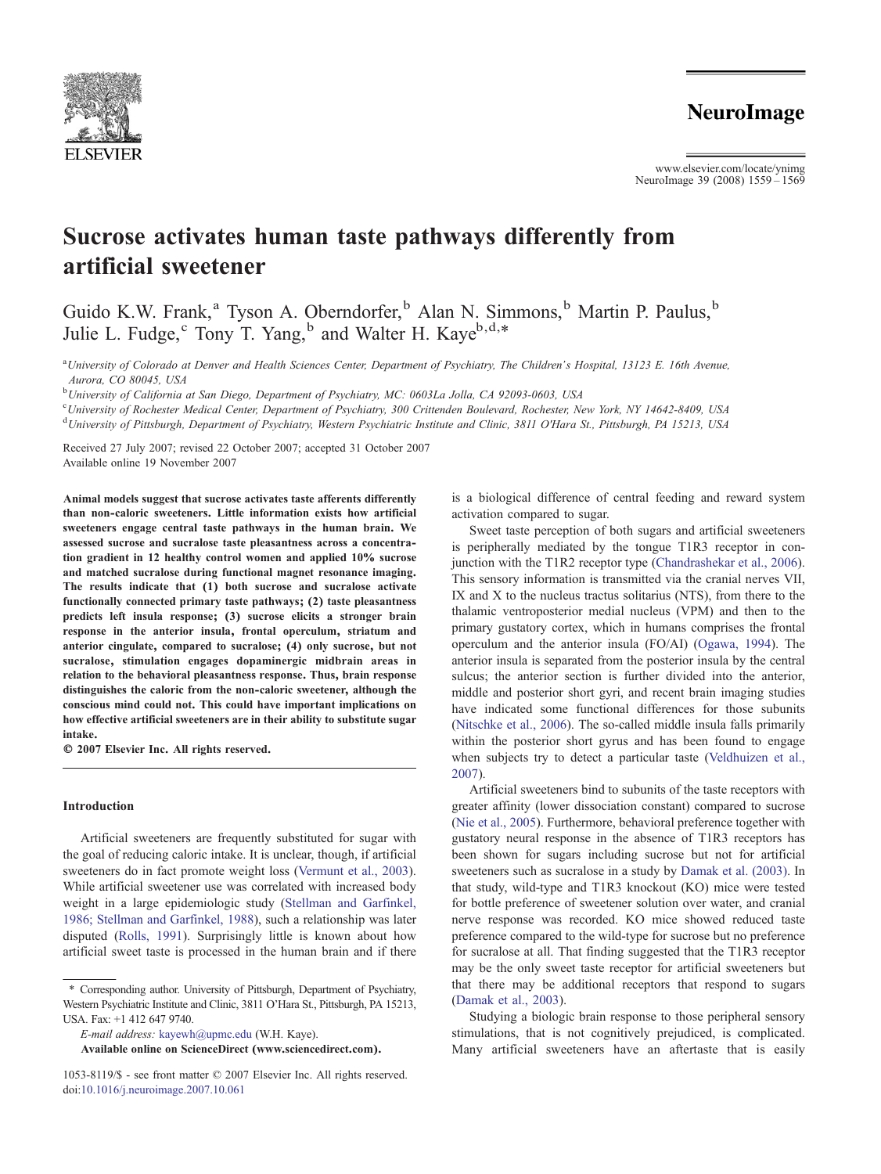

www.elsevier.com/locate/ynimg NeuroImage 39 (2008) 1559–1569

# Sucrose activates human taste pathways differently from artificial sweetener

Guido K.W. Frank,<sup>a</sup> Tyson A. Oberndorfer,<sup>b</sup> Alan N. Simmons,<sup>b</sup> Martin P. Paulus,<sup>b</sup> Julie L. Fudge,  $\overline{c}$  Tony T. Yang,  $\overline{b}$  and Walter H. Kaye $\overline{b}$ , d,\*

a University of Colorado at Denver and Health Sciences Center, Department of Psychiatry, The Children's Hospital, 13123 E. 16th Avenue, Aurora, CO 80045, USA

<sup>b</sup>University of California at San Diego, Department of Psychiatry, MC: 0603La Jolla, CA 92093-0603, USA

c University of Rochester Medical Center, Department of Psychiatry, 300 Crittenden Boulevard, Rochester, New York, NY 14642-8409, USA

<sup>d</sup>University of Pittsburgh, Department of Psychiatry, Western Psychiatric Institute and Clinic, 3811 O'Hara St., Pittsburgh, PA 15213, USA

Received 27 July 2007; revised 22 October 2007; accepted 31 October 2007 Available online 19 November 2007

Animal models suggest that sucrose activates taste afferents differently than non-caloric sweeteners. Little information exists how artificial sweeteners engage central taste pathways in the human brain. We assessed sucrose and sucralose taste pleasantness across a concentration gradient in 12 healthy control women and applied 10% sucrose and matched sucralose during functional magnet resonance imaging. The results indicate that (1) both sucrose and sucralose activate functionally connected primary taste pathways; (2) taste pleasantness predicts left insula response; (3) sucrose elicits a stronger brain response in the anterior insula, frontal operculum, striatum and anterior cingulate, compared to sucralose; (4) only sucrose, but not sucralose, stimulation engages dopaminergic midbrain areas in relation to the behavioral pleasantness response. Thus, brain response distinguishes the caloric from the non-caloric sweetener, although the conscious mind could not. This could have important implications on how effective artificial sweeteners are in their ability to substitute sugar intake.

© 2007 Elsevier Inc. All rights reserved.

# Introduction

Artificial sweeteners are frequently substituted for sugar with the goal of reducing caloric intake. It is unclear, though, if artificial sweeteners do in fact promote weight loss ([Vermunt et al., 2003](#page-10-0)). While artificial sweetener use was correlated with increased body weight in a large epidemiologic study ([Stellman and Garfinkel,](#page-10-0) [1986; Stellman and Garfinkel, 1988\)](#page-10-0), such a relationship was later disputed [\(Rolls, 1991\)](#page-10-0). Surprisingly little is known about how artificial sweet taste is processed in the human brain and if there

Available online on ScienceDirect (www.sciencedirect.com).

is a biological difference of central feeding and reward system activation compared to sugar.

Sweet taste perception of both sugars and artificial sweeteners is peripherally mediated by the tongue T1R3 receptor in conjunction with the T1R2 receptor type ([Chandrashekar et al., 2006](#page-9-0)). This sensory information is transmitted via the cranial nerves VII, IX and X to the nucleus tractus solitarius (NTS), from there to the thalamic ventroposterior medial nucleus (VPM) and then to the primary gustatory cortex, which in humans comprises the frontal operculum and the anterior insula (FO/AI) [\(Ogawa, 1994\)](#page-10-0). The anterior insula is separated from the posterior insula by the central sulcus; the anterior section is further divided into the anterior, middle and posterior short gyri, and recent brain imaging studies have indicated some functional differences for those subunits [\(Nitschke et al., 2006](#page-10-0)). The so-called middle insula falls primarily within the posterior short gyrus and has been found to engage when subjects try to detect a particular taste [\(Veldhuizen et al.,](#page-10-0) [2007](#page-10-0)).

Artificial sweeteners bind to subunits of the taste receptors with greater affinity (lower dissociation constant) compared to sucrose [\(Nie et al., 2005\)](#page-10-0). Furthermore, behavioral preference together with gustatory neural response in the absence of T1R3 receptors has been shown for sugars including sucrose but not for artificial sweeteners such as sucralose in a study by [Damak et al. \(2003\)](#page-10-0). In that study, wild-type and T1R3 knockout (KO) mice were tested for bottle preference of sweetener solution over water, and cranial nerve response was recorded. KO mice showed reduced taste preference compared to the wild-type for sucrose but no preference for sucralose at all. That finding suggested that the T1R3 receptor may be the only sweet taste receptor for artificial sweeteners but that there may be additional receptors that respond to sugars [\(Damak et al., 2003](#page-10-0)).

Studying a biologic brain response to those peripheral sensory stimulations, that is not cognitively prejudiced, is complicated. Many artificial sweeteners have an aftertaste that is easily

<sup>⁎</sup> Corresponding author. University of Pittsburgh, Department of Psychiatry, Western Psychiatric Institute and Clinic, 3811 O'Hara St., Pittsburgh, PA 15213, USA. Fax: +1 412 647 9740.

E-mail address: [kayewh@upmc.edu](mailto:kayewh@upmc.edu) (W.H. Kaye).

<sup>1053-8119/\$ -</sup> see front matter © 2007 Elsevier Inc. All rights reserved. doi:[10.1016/j.neuroimage.2007.10.061](http://dx.doi.org/10.1016/j.neuroimage.2007.10.061)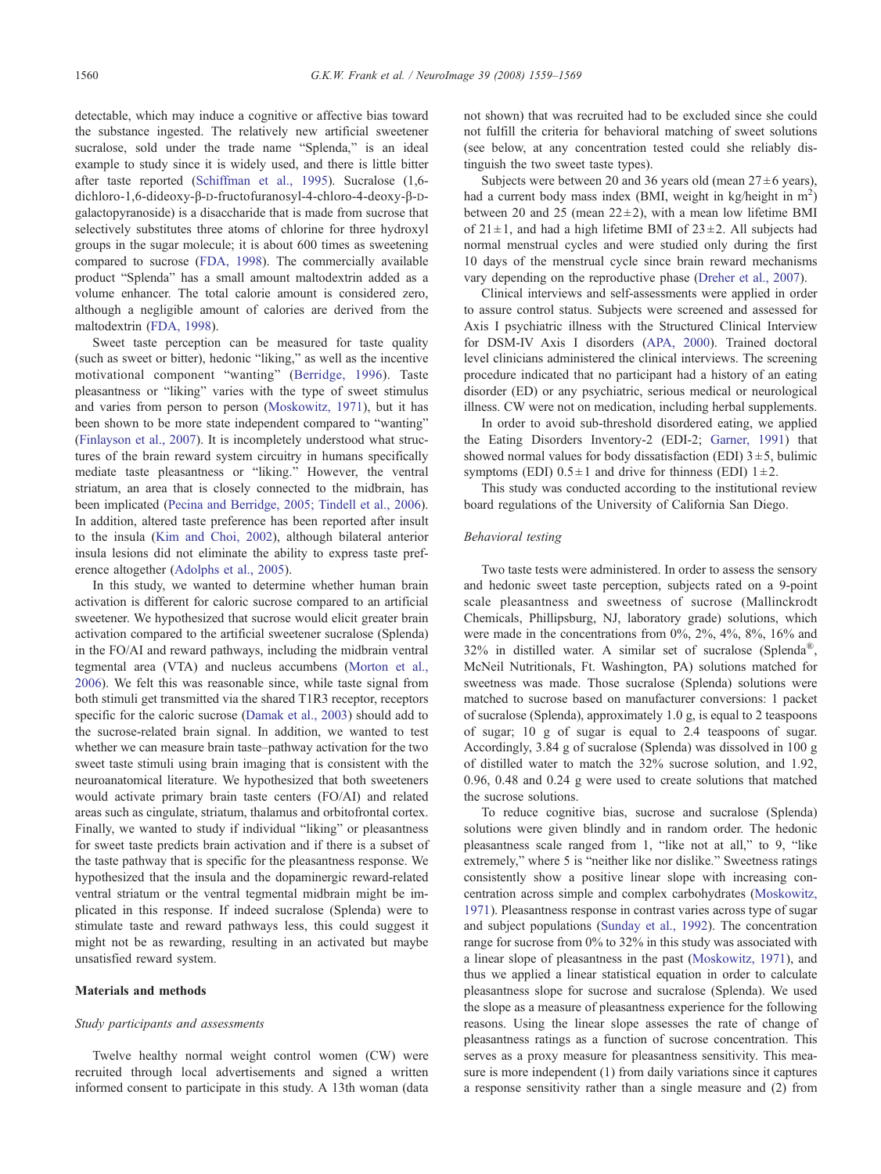detectable, which may induce a cognitive or affective bias toward the substance ingested. The relatively new artificial sweetener sucralose, sold under the trade name "Splenda," is an ideal example to study since it is widely used, and there is little bitter after taste reported ([Schiffman et al., 1995\)](#page-10-0). Sucralose (1,6 dichloro-1,6-dideoxy-β-D-fructofuranosyl-4-chloro-4-deoxy-β-Dgalactopyranoside) is a disaccharide that is made from sucrose that selectively substitutes three atoms of chlorine for three hydroxyl groups in the sugar molecule; it is about 600 times as sweetening compared to sucrose [\(FDA, 1998](#page-10-0)). The commercially available product "Splenda" has a small amount maltodextrin added as a volume enhancer. The total calorie amount is considered zero, although a negligible amount of calories are derived from the maltodextrin ([FDA, 1998\)](#page-10-0).

Sweet taste perception can be measured for taste quality (such as sweet or bitter), hedonic "liking," as well as the incentive motivational component "wanting" ([Berridge, 1996\)](#page-9-0). Taste pleasantness or "liking" varies with the type of sweet stimulus and varies from person to person [\(Moskowitz, 1971](#page-10-0)), but it has been shown to be more state independent compared to "wanting" ([Finlayson et al., 2007\)](#page-10-0). It is incompletely understood what structures of the brain reward system circuitry in humans specifically mediate taste pleasantness or "liking." However, the ventral striatum, an area that is closely connected to the midbrain, has been implicated ([Pecina and Berridge, 2005; Tindell et al., 2006\)](#page-10-0). In addition, altered taste preference has been reported after insult to the insula [\(Kim and Choi, 2002](#page-10-0)), although bilateral anterior insula lesions did not eliminate the ability to express taste preference altogether [\(Adolphs et al., 2005](#page-9-0)).

In this study, we wanted to determine whether human brain activation is different for caloric sucrose compared to an artificial sweetener. We hypothesized that sucrose would elicit greater brain activation compared to the artificial sweetener sucralose (Splenda) in the FO/AI and reward pathways, including the midbrain ventral tegmental area (VTA) and nucleus accumbens ([Morton et al.,](#page-10-0) [2006\)](#page-10-0). We felt this was reasonable since, while taste signal from both stimuli get transmitted via the shared T1R3 receptor, receptors specific for the caloric sucrose [\(Damak et al., 2003](#page-10-0)) should add to the sucrose-related brain signal. In addition, we wanted to test whether we can measure brain taste–pathway activation for the two sweet taste stimuli using brain imaging that is consistent with the neuroanatomical literature. We hypothesized that both sweeteners would activate primary brain taste centers (FO/AI) and related areas such as cingulate, striatum, thalamus and orbitofrontal cortex. Finally, we wanted to study if individual "liking" or pleasantness for sweet taste predicts brain activation and if there is a subset of the taste pathway that is specific for the pleasantness response. We hypothesized that the insula and the dopaminergic reward-related ventral striatum or the ventral tegmental midbrain might be implicated in this response. If indeed sucralose (Splenda) were to stimulate taste and reward pathways less, this could suggest it might not be as rewarding, resulting in an activated but maybe unsatisfied reward system.

# Materials and methods

#### Study participants and assessments

Twelve healthy normal weight control women (CW) were recruited through local advertisements and signed a written informed consent to participate in this study. A 13th woman (data not shown) that was recruited had to be excluded since she could not fulfill the criteria for behavioral matching of sweet solutions (see below, at any concentration tested could she reliably distinguish the two sweet taste types).

Subjects were between 20 and 36 years old (mean  $27 \pm 6$  years), had a current body mass index (BMI, weight in kg/height in  $m<sup>2</sup>$ ) between 20 and 25 (mean  $22 \pm 2$ ), with a mean low lifetime BMI of  $21 \pm 1$ , and had a high lifetime BMI of  $23 \pm 2$ . All subjects had normal menstrual cycles and were studied only during the first 10 days of the menstrual cycle since brain reward mechanisms vary depending on the reproductive phase [\(Dreher et al., 2007](#page-10-0)).

Clinical interviews and self-assessments were applied in order to assure control status. Subjects were screened and assessed for Axis I psychiatric illness with the Structured Clinical Interview for DSM-IV Axis I disorders [\(APA, 2000](#page-9-0)). Trained doctoral level clinicians administered the clinical interviews. The screening procedure indicated that no participant had a history of an eating disorder (ED) or any psychiatric, serious medical or neurological illness. CW were not on medication, including herbal supplements.

In order to avoid sub-threshold disordered eating, we applied the Eating Disorders Inventory-2 (EDI-2; [Garner, 1991\)](#page-10-0) that showed normal values for body dissatisfaction (EDI)  $3 \pm 5$ , bulimic symptoms (EDI)  $0.5 \pm 1$  and drive for thinness (EDI)  $1 \pm 2$ .

This study was conducted according to the institutional review board regulations of the University of California San Diego.

## Behavioral testing

Two taste tests were administered. In order to assess the sensory and hedonic sweet taste perception, subjects rated on a 9-point scale pleasantness and sweetness of sucrose (Mallinckrodt Chemicals, Phillipsburg, NJ, laboratory grade) solutions, which were made in the concentrations from  $0\%$ ,  $2\%$ ,  $4\%$ ,  $8\%$ ,  $16\%$  and 32% in distilled water. A similar set of sucralose (Splenda®, McNeil Nutritionals, Ft. Washington, PA) solutions matched for sweetness was made. Those sucralose (Splenda) solutions were matched to sucrose based on manufacturer conversions: 1 packet of sucralose (Splenda), approximately 1.0 g, is equal to 2 teaspoons of sugar; 10 g of sugar is equal to 2.4 teaspoons of sugar. Accordingly, 3.84 g of sucralose (Splenda) was dissolved in 100 g of distilled water to match the 32% sucrose solution, and 1.92, 0.96, 0.48 and 0.24 g were used to create solutions that matched the sucrose solutions.

To reduce cognitive bias, sucrose and sucralose (Splenda) solutions were given blindly and in random order. The hedonic pleasantness scale ranged from 1, "like not at all," to 9, "like extremely," where 5 is "neither like nor dislike." Sweetness ratings consistently show a positive linear slope with increasing concentration across simple and complex carbohydrates [\(Moskowitz,](#page-10-0) [1971\)](#page-10-0). Pleasantness response in contrast varies across type of sugar and subject populations [\(Sunday et al., 1992\)](#page-10-0). The concentration range for sucrose from 0% to 32% in this study was associated with a linear slope of pleasantness in the past [\(Moskowitz, 1971\)](#page-10-0), and thus we applied a linear statistical equation in order to calculate pleasantness slope for sucrose and sucralose (Splenda). We used the slope as a measure of pleasantness experience for the following reasons. Using the linear slope assesses the rate of change of pleasantness ratings as a function of sucrose concentration. This serves as a proxy measure for pleasantness sensitivity. This measure is more independent (1) from daily variations since it captures a response sensitivity rather than a single measure and (2) from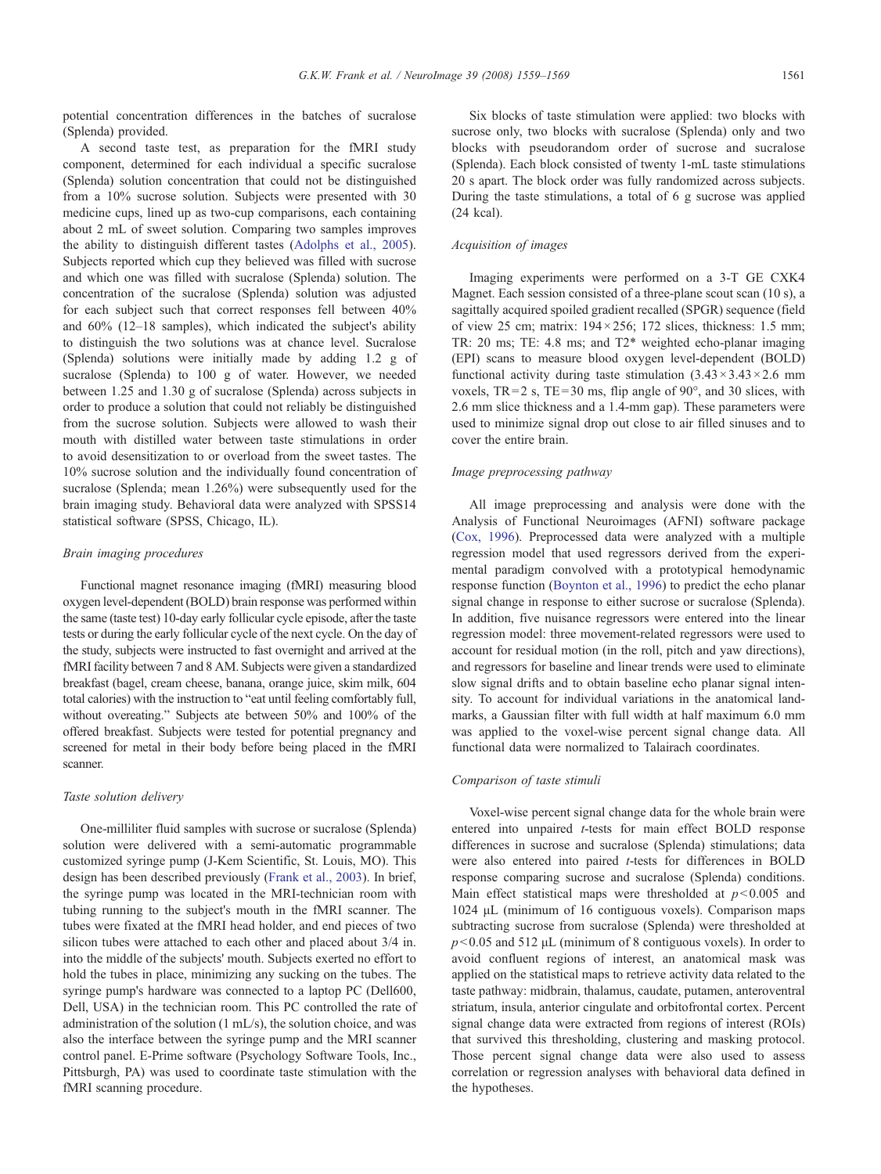potential concentration differences in the batches of sucralose (Splenda) provided.

A second taste test, as preparation for the fMRI study component, determined for each individual a specific sucralose (Splenda) solution concentration that could not be distinguished from a 10% sucrose solution. Subjects were presented with 30 medicine cups, lined up as two-cup comparisons, each containing about 2 mL of sweet solution. Comparing two samples improves the ability to distinguish different tastes ([Adolphs et al., 2005](#page-9-0)). Subjects reported which cup they believed was filled with sucrose and which one was filled with sucralose (Splenda) solution. The concentration of the sucralose (Splenda) solution was adjusted for each subject such that correct responses fell between 40% and 60% (12–18 samples), which indicated the subject's ability to distinguish the two solutions was at chance level. Sucralose (Splenda) solutions were initially made by adding 1.2 g of sucralose (Splenda) to 100 g of water. However, we needed between 1.25 and 1.30 g of sucralose (Splenda) across subjects in order to produce a solution that could not reliably be distinguished from the sucrose solution. Subjects were allowed to wash their mouth with distilled water between taste stimulations in order to avoid desensitization to or overload from the sweet tastes. The 10% sucrose solution and the individually found concentration of sucralose (Splenda; mean 1.26%) were subsequently used for the brain imaging study. Behavioral data were analyzed with SPSS14 statistical software (SPSS, Chicago, IL).

# Brain imaging procedures

Functional magnet resonance imaging (fMRI) measuring blood oxygen level-dependent (BOLD) brain response was performed within the same (taste test) 10-day early follicular cycle episode, after the taste tests or during the early follicular cycle of the next cycle. On the day of the study, subjects were instructed to fast overnight and arrived at the fMRI facility between 7 and 8 AM. Subjects were given a standardized breakfast (bagel, cream cheese, banana, orange juice, skim milk, 604 total calories) with the instruction to "eat until feeling comfortably full, without overeating." Subjects ate between 50% and 100% of the offered breakfast. Subjects were tested for potential pregnancy and screened for metal in their body before being placed in the fMRI scanner.

# Taste solution delivery

One-milliliter fluid samples with sucrose or sucralose (Splenda) solution were delivered with a semi-automatic programmable customized syringe pump (J-Kem Scientific, St. Louis, MO). This design has been described previously ([Frank et al., 2003](#page-10-0)). In brief, the syringe pump was located in the MRI-technician room with tubing running to the subject's mouth in the fMRI scanner. The tubes were fixated at the fMRI head holder, and end pieces of two silicon tubes were attached to each other and placed about 3/4 in. into the middle of the subjects' mouth. Subjects exerted no effort to hold the tubes in place, minimizing any sucking on the tubes. The syringe pump's hardware was connected to a laptop PC (Dell600, Dell, USA) in the technician room. This PC controlled the rate of administration of the solution (1 mL/s), the solution choice, and was also the interface between the syringe pump and the MRI scanner control panel. E-Prime software (Psychology Software Tools, Inc., Pittsburgh, PA) was used to coordinate taste stimulation with the fMRI scanning procedure.

Six blocks of taste stimulation were applied: two blocks with sucrose only, two blocks with sucralose (Splenda) only and two blocks with pseudorandom order of sucrose and sucralose (Splenda). Each block consisted of twenty 1-mL taste stimulations 20 s apart. The block order was fully randomized across subjects. During the taste stimulations, a total of 6 g sucrose was applied (24 kcal).

# Acquisition of images

Imaging experiments were performed on a 3-T GE CXK4 Magnet. Each session consisted of a three-plane scout scan (10 s), a sagittally acquired spoiled gradient recalled (SPGR) sequence (field of view 25 cm; matrix: 194 × 256; 172 slices, thickness: 1.5 mm; TR: 20 ms; TE: 4.8 ms; and T2\* weighted echo-planar imaging (EPI) scans to measure blood oxygen level-dependent (BOLD) functional activity during taste stimulation  $(3.43 \times 3.43 \times 2.6 \text{ mm})$ voxels,  $TR = 2$  s,  $TE = 30$  ms, flip angle of  $90^{\circ}$ , and 30 slices, with 2.6 mm slice thickness and a 1.4-mm gap). These parameters were used to minimize signal drop out close to air filled sinuses and to cover the entire brain.

## Image preprocessing pathway

All image preprocessing and analysis were done with the Analysis of Functional Neuroimages (AFNI) software package [\(Cox, 1996](#page-9-0)). Preprocessed data were analyzed with a multiple regression model that used regressors derived from the experimental paradigm convolved with a prototypical hemodynamic response function [\(Boynton et al., 1996\)](#page-9-0) to predict the echo planar signal change in response to either sucrose or sucralose (Splenda). In addition, five nuisance regressors were entered into the linear regression model: three movement-related regressors were used to account for residual motion (in the roll, pitch and yaw directions), and regressors for baseline and linear trends were used to eliminate slow signal drifts and to obtain baseline echo planar signal intensity. To account for individual variations in the anatomical landmarks, a Gaussian filter with full width at half maximum 6.0 mm was applied to the voxel-wise percent signal change data. All functional data were normalized to Talairach coordinates.

# Comparison of taste stimuli

Voxel-wise percent signal change data for the whole brain were entered into unpaired t-tests for main effect BOLD response differences in sucrose and sucralose (Splenda) stimulations; data were also entered into paired t-tests for differences in BOLD response comparing sucrose and sucralose (Splenda) conditions. Main effect statistical maps were thresholded at  $p<0.005$  and 1024 μL (minimum of 16 contiguous voxels). Comparison maps subtracting sucrose from sucralose (Splenda) were thresholded at  $p<0.05$  and 512 μL (minimum of 8 contiguous voxels). In order to avoid confluent regions of interest, an anatomical mask was applied on the statistical maps to retrieve activity data related to the taste pathway: midbrain, thalamus, caudate, putamen, anteroventral striatum, insula, anterior cingulate and orbitofrontal cortex. Percent signal change data were extracted from regions of interest (ROIs) that survived this thresholding, clustering and masking protocol. Those percent signal change data were also used to assess correlation or regression analyses with behavioral data defined in the hypotheses.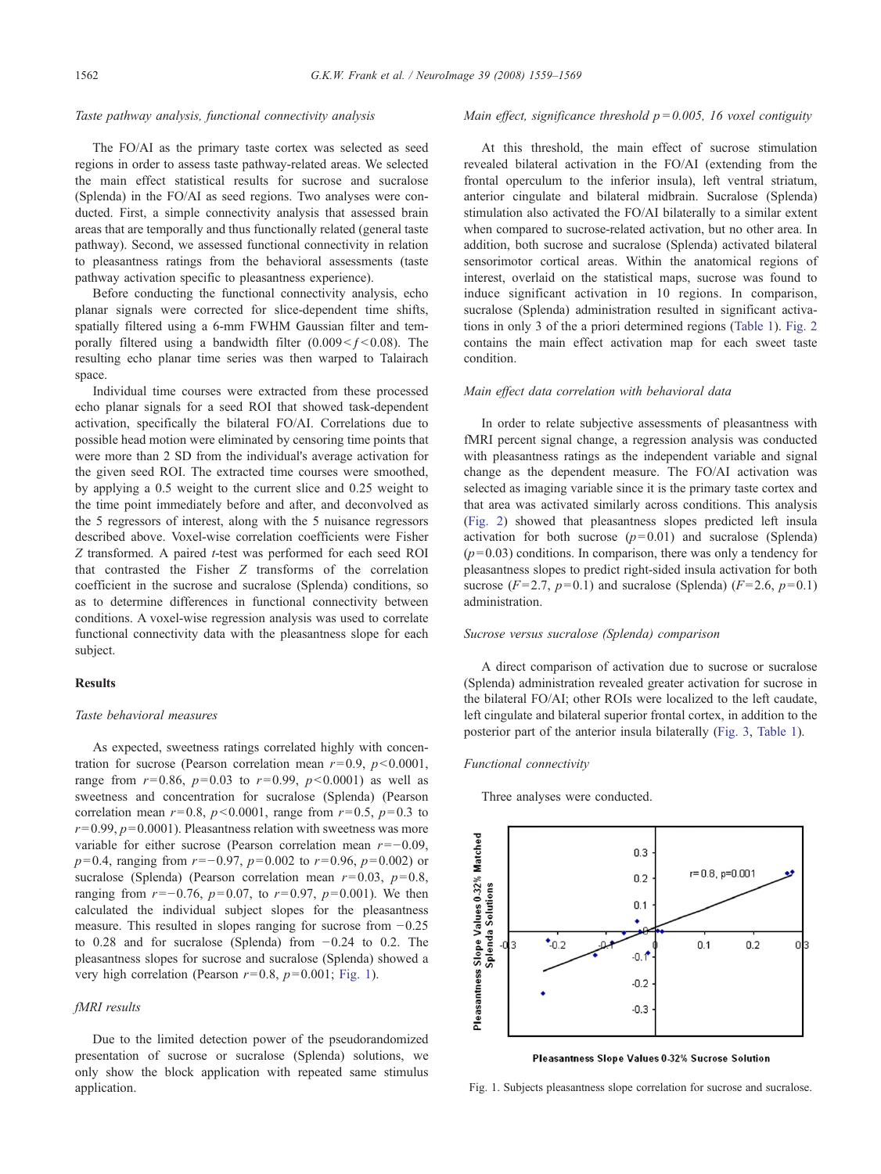#### Taste pathway analysis, functional connectivity analysis

The FO/AI as the primary taste cortex was selected as seed regions in order to assess taste pathway-related areas. We selected the main effect statistical results for sucrose and sucralose (Splenda) in the FO/AI as seed regions. Two analyses were conducted. First, a simple connectivity analysis that assessed brain areas that are temporally and thus functionally related (general taste pathway). Second, we assessed functional connectivity in relation to pleasantness ratings from the behavioral assessments (taste pathway activation specific to pleasantness experience).

Before conducting the functional connectivity analysis, echo planar signals were corrected for slice-dependent time shifts, spatially filtered using a 6-mm FWHM Gaussian filter and temporally filtered using a bandwidth filter  $(0.009 < f < 0.08)$ . The resulting echo planar time series was then warped to Talairach space.

Individual time courses were extracted from these processed echo planar signals for a seed ROI that showed task-dependent activation, specifically the bilateral FO/AI. Correlations due to possible head motion were eliminated by censoring time points that were more than 2 SD from the individual's average activation for the given seed ROI. The extracted time courses were smoothed, by applying a 0.5 weight to the current slice and 0.25 weight to the time point immediately before and after, and deconvolved as the 5 regressors of interest, along with the 5 nuisance regressors described above. Voxel-wise correlation coefficients were Fisher Z transformed. A paired t-test was performed for each seed ROI that contrasted the Fisher Z transforms of the correlation coefficient in the sucrose and sucralose (Splenda) conditions, so as to determine differences in functional connectivity between conditions. A voxel-wise regression analysis was used to correlate functional connectivity data with the pleasantness slope for each subject.

# Results

#### Taste behavioral measures

As expected, sweetness ratings correlated highly with concentration for sucrose (Pearson correlation mean  $r=0.9$ ,  $p<0.0001$ , range from  $r = 0.86$ ,  $p = 0.03$  to  $r = 0.99$ ,  $p < 0.0001$ ) as well as sweetness and concentration for sucralose (Splenda) (Pearson correlation mean  $r = 0.8$ ,  $p < 0.0001$ , range from  $r = 0.5$ ,  $p = 0.3$  to  $r= 0.99$ ,  $p= 0.0001$ ). Pleasantness relation with sweetness was more variable for either sucrose (Pearson correlation mean  $r=-0.09$ ,  $p= 0.4$ , ranging from  $r=-0.97$ ,  $p=0.002$  to  $r=0.96$ ,  $p=0.002$ ) or sucralose (Splenda) (Pearson correlation mean  $r=0.03$ ,  $p=0.8$ , ranging from  $r=-0.76$ ,  $p=0.07$ , to  $r=0.97$ ,  $p=0.001$ ). We then calculated the individual subject slopes for the pleasantness measure. This resulted in slopes ranging for sucrose from −0.25 to 0.28 and for sucralose (Splenda) from −0.24 to 0.2. The pleasantness slopes for sucrose and sucralose (Splenda) showed a very high correlation (Pearson  $r=0.8$ ,  $p=0.001$ ; Fig. 1).

# fMRI results

Due to the limited detection power of the pseudorandomized presentation of sucrose or sucralose (Splenda) solutions, we only show the block application with repeated same stimulus application.

# Main effect, significance threshold  $p = 0.005$ , 16 voxel contiguity

At this threshold, the main effect of sucrose stimulation revealed bilateral activation in the FO/AI (extending from the frontal operculum to the inferior insula), left ventral striatum, anterior cingulate and bilateral midbrain. Sucralose (Splenda) stimulation also activated the FO/AI bilaterally to a similar extent when compared to sucrose-related activation, but no other area. In addition, both sucrose and sucralose (Splenda) activated bilateral sensorimotor cortical areas. Within the anatomical regions of interest, overlaid on the statistical maps, sucrose was found to induce significant activation in 10 regions. In comparison, sucralose (Splenda) administration resulted in significant activations in only 3 of the a priori determined regions ([Table 1\)](#page-4-0). [Fig. 2](#page-5-0) contains the main effect activation map for each sweet taste condition.

#### Main effect data correlation with behavioral data

In order to relate subjective assessments of pleasantness with fMRI percent signal change, a regression analysis was conducted with pleasantness ratings as the independent variable and signal change as the dependent measure. The FO/AI activation was selected as imaging variable since it is the primary taste cortex and that area was activated similarly across conditions. This analysis ([Fig. 2](#page-5-0)) showed that pleasantness slopes predicted left insula activation for both sucrose  $(p= 0.01)$  and sucralose (Splenda)  $(p= 0.03)$  conditions. In comparison, there was only a tendency for pleasantness slopes to predict right-sided insula activation for both sucrose  $(F=2.7, p=0.1)$  and sucralose (Splenda)  $(F=2.6, p=0.1)$ administration.

## Sucrose versus sucralose (Splenda) comparison

A direct comparison of activation due to sucrose or sucralose (Splenda) administration revealed greater activation for sucrose in the bilateral FO/AI; other ROIs were localized to the left caudate, left cingulate and bilateral superior frontal cortex, in addition to the posterior part of the anterior insula bilaterally [\(Fig. 3,](#page-6-0) [Table 1](#page-4-0)).

# Functional connectivity

Three analyses were conducted.



Pleasantness Slope Values 0-32% Sucrose Solution

Fig. 1. Subjects pleasantness slope correlation for sucrose and sucralose.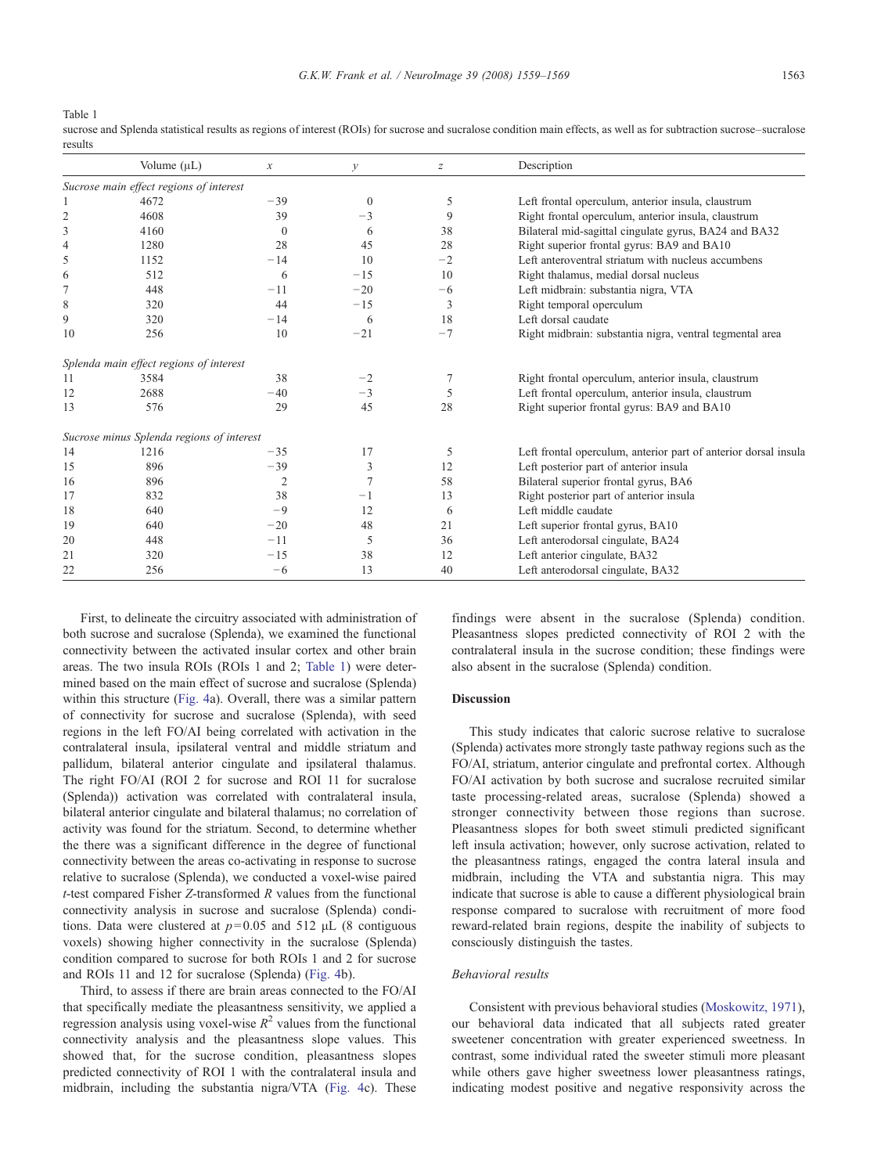| sucrose and Splenda statistical results as regions of interest (ROIs) for sucrose and sucralose condition main effects, as well as for subtraction sucrose–sucralose |
|----------------------------------------------------------------------------------------------------------------------------------------------------------------------|
| results                                                                                                                                                              |

|    | Volume $(\mu L)$                          | $\mathcal{X}$           | $\mathcal{Y}$ | $\boldsymbol{Z}$ | Description                                                     |
|----|-------------------------------------------|-------------------------|---------------|------------------|-----------------------------------------------------------------|
|    | Sucrose main effect regions of interest   |                         |               |                  |                                                                 |
|    | 4672                                      | $-39$                   | $\Omega$      | 5                | Left frontal operculum, anterior insula, claustrum              |
| 2  | 4608                                      | 39                      | $-3$          | 9                | Right frontal operculum, anterior insula, claustrum             |
| 3  | 4160                                      | $\mathbf{0}$            | 6             | 38               | Bilateral mid-sagittal cingulate gyrus, BA24 and BA32           |
| 4  | 1280                                      | 28                      | 45            | 28               | Right superior frontal gyrus: BA9 and BA10                      |
| 5  | 1152                                      | $-14$                   | 10            | $-2$             | Left anteroventral striatum with nucleus accumbens              |
| 6  | 512                                       | 6                       | $-15$         | 10               | Right thalamus, medial dorsal nucleus                           |
| 7  | 448                                       | $-11$                   | $-20$         | $-6$             | Left midbrain: substantia nigra, VTA                            |
| 8  | 320                                       | 44                      | $-15$         | 3                | Right temporal operculum                                        |
| 9  | 320                                       | $-14$                   | 6             | 18               | Left dorsal caudate                                             |
| 10 | 256                                       | 10                      | $-21$         | $-7$             | Right midbrain: substantia nigra, ventral tegmental area        |
|    | Splenda main effect regions of interest   |                         |               |                  |                                                                 |
| 11 | 3584                                      | 38                      | $-2$          | 7                | Right frontal operculum, anterior insula, claustrum             |
| 12 | 2688                                      | $-40$                   | $-3$          | 5                | Left frontal operculum, anterior insula, claustrum              |
| 13 | 576                                       | 29                      | 45            | 28               | Right superior frontal gyrus: BA9 and BA10                      |
|    | Sucrose minus Splenda regions of interest |                         |               |                  |                                                                 |
| 14 | 1216                                      | $-35$                   | 17            | 5                | Left frontal operculum, anterior part of anterior dorsal insula |
| 15 | 896                                       | $-39$                   | 3             | 12               | Left posterior part of anterior insula                          |
| 16 | 896                                       | $\overline{\mathbf{c}}$ |               | 58               | Bilateral superior frontal gyrus, BA6                           |
| 17 | 832                                       | 38                      | $-1$          | 13               | Right posterior part of anterior insula                         |
| 18 | 640                                       | $-9$                    | 12            | 6                | Left middle caudate                                             |
| 19 | 640                                       | $-20$                   | 48            | 21               | Left superior frontal gyrus, BA10                               |
| 20 | 448                                       | $-11$                   | 5             | 36               | Left anterodorsal cingulate, BA24                               |
| 21 | 320                                       | $-15$                   | 38            | 12               | Left anterior cingulate, BA32                                   |
| 22 | 256                                       | $-6$                    | 13            | 40               | Left anterodorsal cingulate, BA32                               |

First, to delineate the circuitry associated with administration of both sucrose and sucralose (Splenda), we examined the functional connectivity between the activated insular cortex and other brain areas. The two insula ROIs (ROIs 1 and 2; Table 1) were determined based on the main effect of sucrose and sucralose (Splenda) within this structure [\(Fig. 4a](#page-7-0)). Overall, there was a similar pattern of connectivity for sucrose and sucralose (Splenda), with seed regions in the left FO/AI being correlated with activation in the contralateral insula, ipsilateral ventral and middle striatum and pallidum, bilateral anterior cingulate and ipsilateral thalamus. The right FO/AI (ROI 2 for sucrose and ROI 11 for sucralose (Splenda)) activation was correlated with contralateral insula, bilateral anterior cingulate and bilateral thalamus; no correlation of activity was found for the striatum. Second, to determine whether the there was a significant difference in the degree of functional connectivity between the areas co-activating in response to sucrose relative to sucralose (Splenda), we conducted a voxel-wise paired  $t$ -test compared Fisher Z-transformed  $R$  values from the functional connectivity analysis in sucrose and sucralose (Splenda) conditions. Data were clustered at  $p=0.05$  and 512 μL (8 contiguous voxels) showing higher connectivity in the sucralose (Splenda) condition compared to sucrose for both ROIs 1 and 2 for sucrose and ROIs 11 and 12 for sucralose (Splenda) [\(Fig. 4b](#page-7-0)).

<span id="page-4-0"></span>Table 1

Third, to assess if there are brain areas connected to the FO/AI that specifically mediate the pleasantness sensitivity, we applied a regression analysis using voxel-wise  $R^2$  values from the functional connectivity analysis and the pleasantness slope values. This showed that, for the sucrose condition, pleasantness slopes predicted connectivity of ROI 1 with the contralateral insula and midbrain, including the substantia nigra/VTA ([Fig. 4](#page-7-0)c). These findings were absent in the sucralose (Splenda) condition. Pleasantness slopes predicted connectivity of ROI 2 with the contralateral insula in the sucrose condition; these findings were also absent in the sucralose (Splenda) condition.

## Discussion

This study indicates that caloric sucrose relative to sucralose (Splenda) activates more strongly taste pathway regions such as the FO/AI, striatum, anterior cingulate and prefrontal cortex. Although FO/AI activation by both sucrose and sucralose recruited similar taste processing-related areas, sucralose (Splenda) showed a stronger connectivity between those regions than sucrose. Pleasantness slopes for both sweet stimuli predicted significant left insula activation; however, only sucrose activation, related to the pleasantness ratings, engaged the contra lateral insula and midbrain, including the VTA and substantia nigra. This may indicate that sucrose is able to cause a different physiological brain response compared to sucralose with recruitment of more food reward-related brain regions, despite the inability of subjects to consciously distinguish the tastes.

# Behavioral results

Consistent with previous behavioral studies [\(Moskowitz, 1971](#page-10-0)), our behavioral data indicated that all subjects rated greater sweetener concentration with greater experienced sweetness. In contrast, some individual rated the sweeter stimuli more pleasant while others gave higher sweetness lower pleasantness ratings, indicating modest positive and negative responsivity across the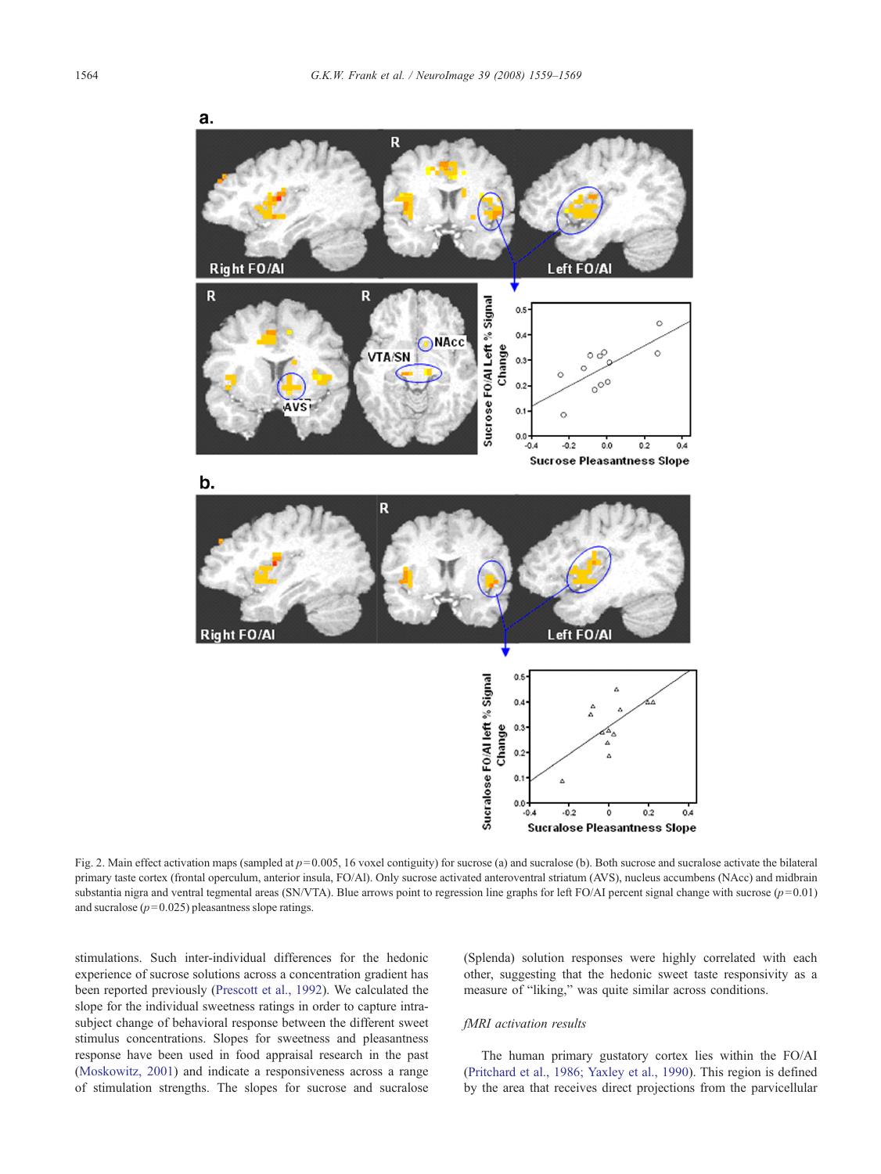<span id="page-5-0"></span>

Fig. 2. Main effect activation maps (sampled at  $p=0.005$ , 16 voxel contiguity) for sucrose (a) and sucralose (b). Both sucrose and sucralose activate the bilateral primary taste cortex (frontal operculum, anterior insula, FO/Al). Only sucrose activated anteroventral striatum (AVS), nucleus accumbens (NAcc) and midbrain substantia nigra and ventral tegmental areas (SN/VTA). Blue arrows point to regression line graphs for left FO/AI percent signal change with sucrose  $(p=0.01)$ and sucralose  $(p= 0.025)$  pleasantness slope ratings.

stimulations. Such inter-individual differences for the hedonic experience of sucrose solutions across a concentration gradient has been reported previously ([Prescott et al., 1992\)](#page-10-0). We calculated the slope for the individual sweetness ratings in order to capture intrasubject change of behavioral response between the different sweet stimulus concentrations. Slopes for sweetness and pleasantness response have been used in food appraisal research in the past ([Moskowitz, 2001\)](#page-10-0) and indicate a responsiveness across a range of stimulation strengths. The slopes for sucrose and sucralose

(Splenda) solution responses were highly correlated with each other, suggesting that the hedonic sweet taste responsivity as a measure of "liking," was quite similar across conditions.

#### fMRI activation results

The human primary gustatory cortex lies within the FO/AI ([Pritchard et al., 1986; Yaxley et al., 1990\)](#page-10-0). This region is defined by the area that receives direct projections from the parvicellular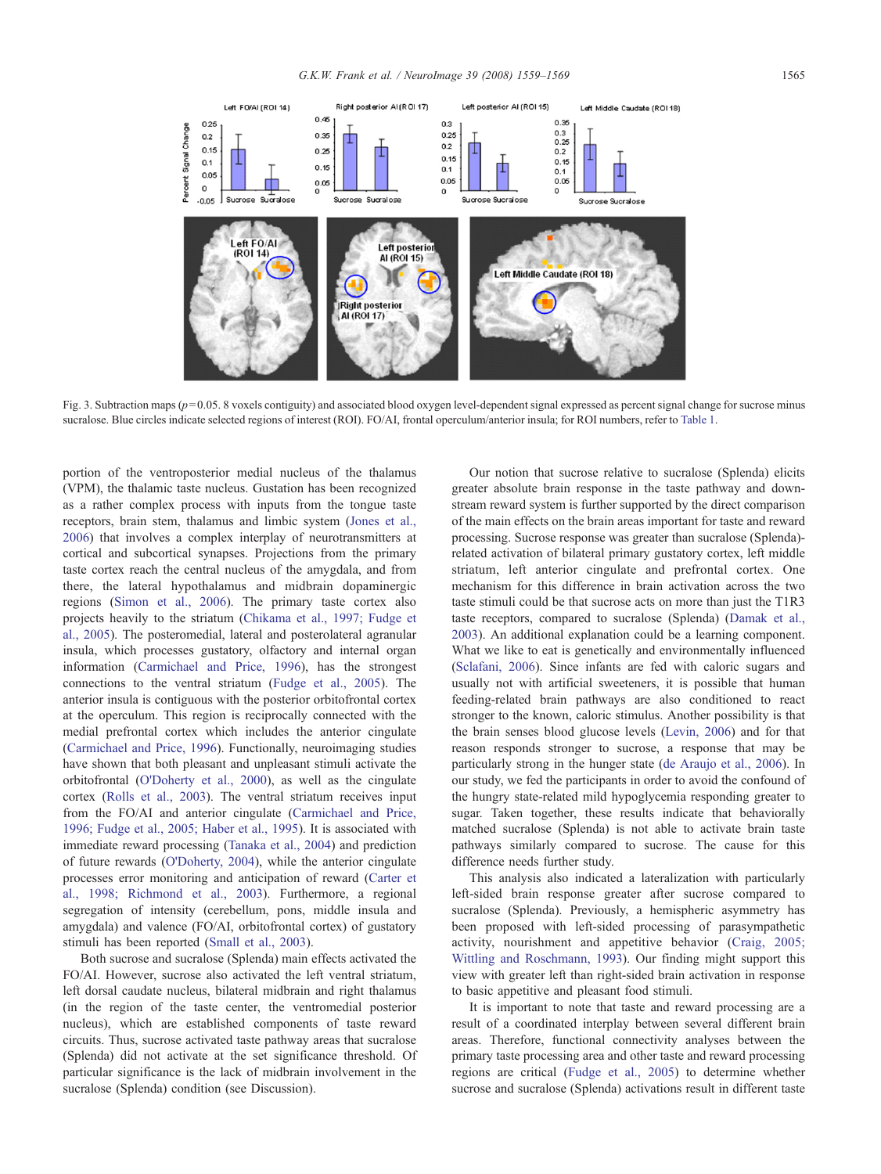<span id="page-6-0"></span>

Fig. 3. Subtraction maps  $(p=0.05.8$  voxels contiguity) and associated blood oxygen level-dependent signal expressed as percent signal change for sucrose minus sucralose. Blue circles indicate selected regions of interest (ROI). FO/AI, frontal operculum/anterior insula; for ROI numbers, refer to [Table 1.](#page-4-0)

portion of the ventroposterior medial nucleus of the thalamus (VPM), the thalamic taste nucleus. Gustation has been recognized as a rather complex process with inputs from the tongue taste receptors, brain stem, thalamus and limbic system ([Jones et al.,](#page-10-0) [2006](#page-10-0)) that involves a complex interplay of neurotransmitters at cortical and subcortical synapses. Projections from the primary taste cortex reach the central nucleus of the amygdala, and from there, the lateral hypothalamus and midbrain dopaminergic regions [\(Simon et al., 2006](#page-10-0)). The primary taste cortex also projects heavily to the striatum ([Chikama et al., 1997; Fudge et](#page-9-0) [al., 2005](#page-9-0)). The posteromedial, lateral and posterolateral agranular insula, which processes gustatory, olfactory and internal organ information [\(Carmichael and Price, 1996\)](#page-9-0), has the strongest connections to the ventral striatum ([Fudge et al., 2005](#page-10-0)). The anterior insula is contiguous with the posterior orbitofrontal cortex at the operculum. This region is reciprocally connected with the medial prefrontal cortex which includes the anterior cingulate [\(Carmichael and Price, 1996\)](#page-9-0). Functionally, neuroimaging studies have shown that both pleasant and unpleasant stimuli activate the orbitofrontal ([O'Doherty et al., 2000\)](#page-10-0), as well as the cingulate cortex [\(Rolls et al., 2003](#page-10-0)). The ventral striatum receives input from the FO/AI and anterior cingulate ([Carmichael and Price,](#page-9-0) [1996; Fudge et al., 2005; Haber et al., 1995\)](#page-9-0). It is associated with immediate reward processing [\(Tanaka et al., 2004\)](#page-10-0) and prediction of future rewards [\(O'Doherty, 2004](#page-10-0)), while the anterior cingulate processes error monitoring and anticipation of reward [\(Carter et](#page-9-0) [al., 1998; Richmond et al., 2003\)](#page-9-0). Furthermore, a regional segregation of intensity (cerebellum, pons, middle insula and amygdala) and valence (FO/AI, orbitofrontal cortex) of gustatory stimuli has been reported [\(Small et al., 2003](#page-10-0)).

Both sucrose and sucralose (Splenda) main effects activated the FO/AI. However, sucrose also activated the left ventral striatum, left dorsal caudate nucleus, bilateral midbrain and right thalamus (in the region of the taste center, the ventromedial posterior nucleus), which are established components of taste reward circuits. Thus, sucrose activated taste pathway areas that sucralose (Splenda) did not activate at the set significance threshold. Of particular significance is the lack of midbrain involvement in the sucralose (Splenda) condition (see Discussion).

Our notion that sucrose relative to sucralose (Splenda) elicits greater absolute brain response in the taste pathway and downstream reward system is further supported by the direct comparison of the main effects on the brain areas important for taste and reward processing. Sucrose response was greater than sucralose (Splenda) related activation of bilateral primary gustatory cortex, left middle striatum, left anterior cingulate and prefrontal cortex. One mechanism for this difference in brain activation across the two taste stimuli could be that sucrose acts on more than just the T1R3 taste receptors, compared to sucralose (Splenda) [\(Damak et al.,](#page-10-0) [2003](#page-10-0)). An additional explanation could be a learning component. What we like to eat is genetically and environmentally influenced [\(Sclafani, 2006](#page-10-0)). Since infants are fed with caloric sugars and usually not with artificial sweeteners, it is possible that human feeding-related brain pathways are also conditioned to react stronger to the known, caloric stimulus. Another possibility is that the brain senses blood glucose levels ([Levin, 2006](#page-10-0)) and for that reason responds stronger to sucrose, a response that may be particularly strong in the hunger state [\(de Araujo et al., 2006\)](#page-10-0). In our study, we fed the participants in order to avoid the confound of the hungry state-related mild hypoglycemia responding greater to sugar. Taken together, these results indicate that behaviorally matched sucralose (Splenda) is not able to activate brain taste pathways similarly compared to sucrose. The cause for this difference needs further study.

This analysis also indicated a lateralization with particularly left-sided brain response greater after sucrose compared to sucralose (Splenda). Previously, a hemispheric asymmetry has been proposed with left-sided processing of parasympathetic activity, nourishment and appetitive behavior ([Craig, 2005;](#page-9-0) [Wittling and Roschmann, 1993](#page-9-0)). Our finding might support this view with greater left than right-sided brain activation in response to basic appetitive and pleasant food stimuli.

It is important to note that taste and reward processing are a result of a coordinated interplay between several different brain areas. Therefore, functional connectivity analyses between the primary taste processing area and other taste and reward processing regions are critical [\(Fudge et al., 2005](#page-10-0)) to determine whether sucrose and sucralose (Splenda) activations result in different taste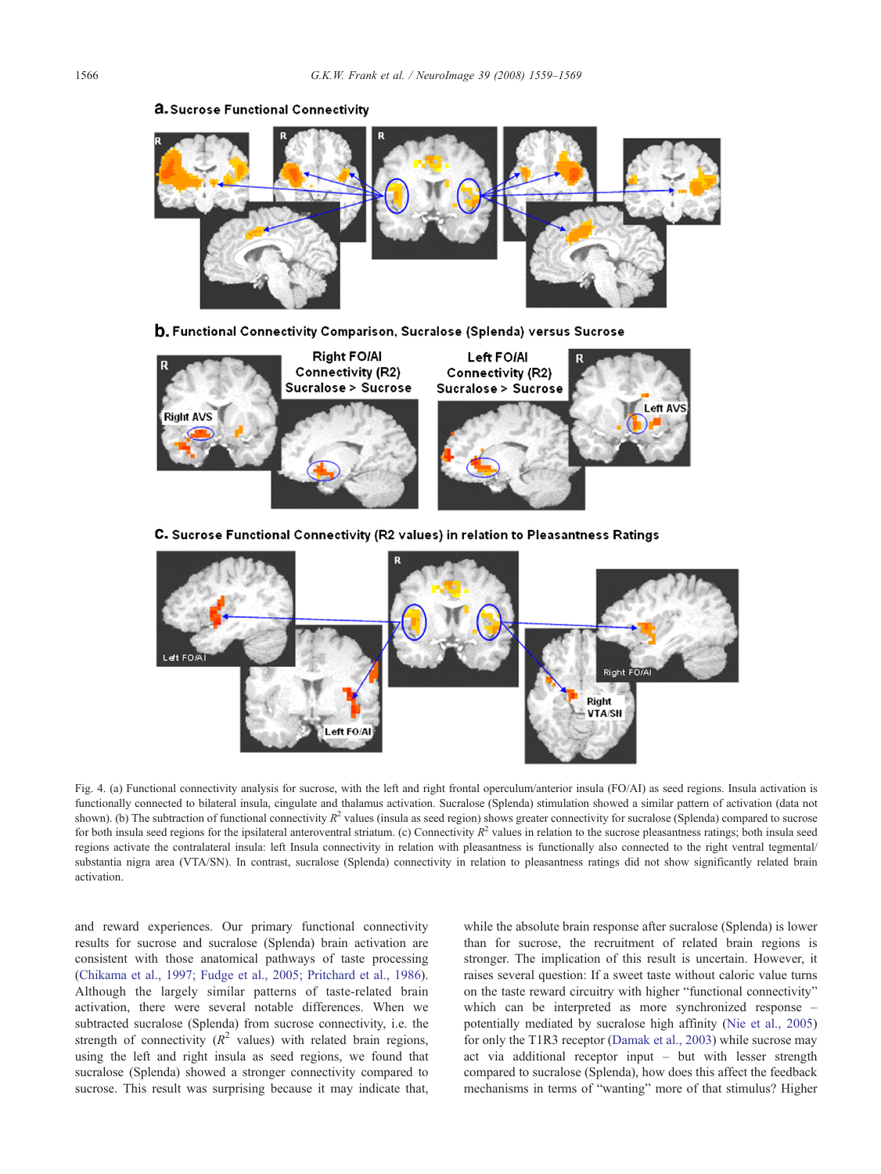

# <span id="page-7-0"></span>**a. Sucrose Functional Connectivity**





C. Sucrose Functional Connectivity (R2 values) in relation to Pleasantness Ratings



Fig. 4. (a) Functional connectivity analysis for sucrose, with the left and right frontal operculum/anterior insula (FO/AI) as seed regions. Insula activation is functionally connected to bilateral insula, cingulate and thalamus activation. Sucralose (Splenda) stimulation showed a similar pattern of activation (data not shown). (b) The subtraction of functional connectivity  $R^2$  values (insula as seed region) shows greater connectivity for sucralose (Splenda) compared to sucrose for both insula seed regions for the ipsilateral anteroventral striatum. (c) Connectivity  $R^2$  values in relation to the sucrose pleasantness ratings; both insula seed regions activate the contralateral insula: left Insula connectivity in relation with pleasantness is functionally also connected to the right ventral tegmental/ substantia nigra area (VTA/SN). In contrast, sucralose (Splenda) connectivity in relation to pleasantness ratings did not show significantly related brain activation.

and reward experiences. Our primary functional connectivity results for sucrose and sucralose (Splenda) brain activation are consistent with those anatomical pathways of taste processing ([Chikama et al., 1997; Fudge et al., 2005; Pritchard et al., 1986\)](#page-9-0). Although the largely similar patterns of taste-related brain activation, there were several notable differences. When we subtracted sucralose (Splenda) from sucrose connectivity, i.e. the strength of connectivity  $(R^2 \text{ values})$  with related brain regions, using the left and right insula as seed regions, we found that sucralose (Splenda) showed a stronger connectivity compared to sucrose. This result was surprising because it may indicate that,

while the absolute brain response after sucralose (Splenda) is lower than for sucrose, the recruitment of related brain regions is stronger. The implication of this result is uncertain. However, it raises several question: If a sweet taste without caloric value turns on the taste reward circuitry with higher "functional connectivity" which can be interpreted as more synchronized response – potentially mediated by sucralose high affinity ([Nie et al., 2005\)](#page-10-0) for only the T1R3 receptor [\(Damak et al., 2003\)](#page-10-0) while sucrose may act via additional receptor input – but with lesser strength compared to sucralose (Splenda), how does this affect the feedback mechanisms in terms of "wanting" more of that stimulus? Higher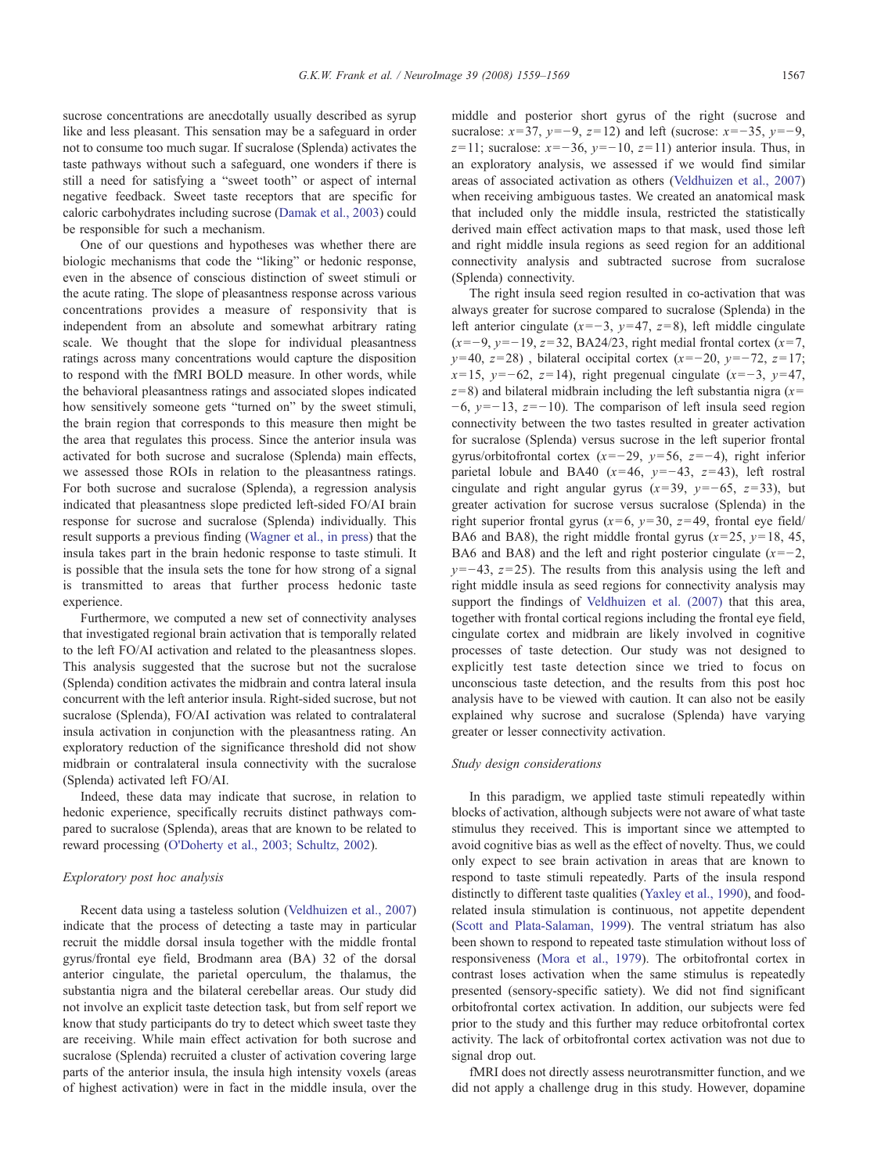sucrose concentrations are anecdotally usually described as syrup like and less pleasant. This sensation may be a safeguard in order not to consume too much sugar. If sucralose (Splenda) activates the taste pathways without such a safeguard, one wonders if there is still a need for satisfying a "sweet tooth" or aspect of internal negative feedback. Sweet taste receptors that are specific for caloric carbohydrates including sucrose ([Damak et al., 2003\)](#page-10-0) could be responsible for such a mechanism.

One of our questions and hypotheses was whether there are biologic mechanisms that code the "liking" or hedonic response, even in the absence of conscious distinction of sweet stimuli or the acute rating. The slope of pleasantness response across various concentrations provides a measure of responsivity that is independent from an absolute and somewhat arbitrary rating scale. We thought that the slope for individual pleasantness ratings across many concentrations would capture the disposition to respond with the fMRI BOLD measure. In other words, while the behavioral pleasantness ratings and associated slopes indicated how sensitively someone gets "turned on" by the sweet stimuli, the brain region that corresponds to this measure then might be the area that regulates this process. Since the anterior insula was activated for both sucrose and sucralose (Splenda) main effects, we assessed those ROIs in relation to the pleasantness ratings. For both sucrose and sucralose (Splenda), a regression analysis indicated that pleasantness slope predicted left-sided FO/AI brain response for sucrose and sucralose (Splenda) individually. This result supports a previous finding ([Wagner et al., in press](#page-10-0)) that the insula takes part in the brain hedonic response to taste stimuli. It is possible that the insula sets the tone for how strong of a signal is transmitted to areas that further process hedonic taste experience.

Furthermore, we computed a new set of connectivity analyses that investigated regional brain activation that is temporally related to the left FO/AI activation and related to the pleasantness slopes. This analysis suggested that the sucrose but not the sucralose (Splenda) condition activates the midbrain and contra lateral insula concurrent with the left anterior insula. Right-sided sucrose, but not sucralose (Splenda), FO/AI activation was related to contralateral insula activation in conjunction with the pleasantness rating. An exploratory reduction of the significance threshold did not show midbrain or contralateral insula connectivity with the sucralose (Splenda) activated left FO/AI.

Indeed, these data may indicate that sucrose, in relation to hedonic experience, specifically recruits distinct pathways compared to sucralose (Splenda), areas that are known to be related to reward processing ([O'Doherty et al., 2003; Schultz, 2002](#page-10-0)).

# Exploratory post hoc analysis

Recent data using a tasteless solution [\(Veldhuizen et al., 2007\)](#page-10-0) indicate that the process of detecting a taste may in particular recruit the middle dorsal insula together with the middle frontal gyrus/frontal eye field, Brodmann area (BA) 32 of the dorsal anterior cingulate, the parietal operculum, the thalamus, the substantia nigra and the bilateral cerebellar areas. Our study did not involve an explicit taste detection task, but from self report we know that study participants do try to detect which sweet taste they are receiving. While main effect activation for both sucrose and sucralose (Splenda) recruited a cluster of activation covering large parts of the anterior insula, the insula high intensity voxels (areas of highest activation) were in fact in the middle insula, over the middle and posterior short gyrus of the right (sucrose and sucralose:  $x=37$ ,  $y=-9$ ,  $z=12$ ) and left (sucrose:  $x=-35$ ,  $y=-9$ ,  $z=11$ ; sucralose:  $x=-36$ ,  $y=-10$ ,  $z=11$ ) anterior insula. Thus, in an exploratory analysis, we assessed if we would find similar areas of associated activation as others ([Veldhuizen et al., 2007\)](#page-10-0) when receiving ambiguous tastes. We created an anatomical mask that included only the middle insula, restricted the statistically derived main effect activation maps to that mask, used those left and right middle insula regions as seed region for an additional connectivity analysis and subtracted sucrose from sucralose (Splenda) connectivity.

The right insula seed region resulted in co-activation that was always greater for sucrose compared to sucralose (Splenda) in the left anterior cingulate ( $x=-3$ ,  $y=47$ ,  $z=8$ ), left middle cingulate (x=−9, y=−19, z= 32, BA24/23, right medial frontal cortex (x= 7,  $y=40$ ,  $z=28$ ), bilateral occipital cortex  $(x=-20, y=-72, z=17;$  $x=15$ ,  $y=-62$ ,  $z=14$ ), right pregenual cingulate ( $x=-3$ ,  $y=47$ ,  $z=8$ ) and bilateral midbrain including the left substantia nigra (x=  $-6$ , y=−13, z=−10). The comparison of left insula seed region connectivity between the two tastes resulted in greater activation for sucralose (Splenda) versus sucrose in the left superior frontal gyrus/orbitofrontal cortex ( $x=-29$ ,  $y=56$ ,  $z=-4$ ), right inferior parietal lobule and BA40 ( $x=46$ ,  $y=-43$ ,  $z=43$ ), left rostral cingulate and right angular gyrus ( $x=39$ ,  $y=-65$ ,  $z=33$ ), but greater activation for sucrose versus sucralose (Splenda) in the right superior frontal gyrus ( $x=6$ ,  $y=30$ ,  $z=49$ , frontal eye field/ BA6 and BA8), the right middle frontal gyrus  $(x=25, y=18, 45,$ BA6 and BA8) and the left and right posterior cingulate  $(x=-2)$ ,  $y=-43$ ,  $z=25$ ). The results from this analysis using the left and right middle insula as seed regions for connectivity analysis may support the findings of [Veldhuizen et al. \(2007\)](#page-10-0) that this area, together with frontal cortical regions including the frontal eye field, cingulate cortex and midbrain are likely involved in cognitive processes of taste detection. Our study was not designed to explicitly test taste detection since we tried to focus on unconscious taste detection, and the results from this post hoc analysis have to be viewed with caution. It can also not be easily explained why sucrose and sucralose (Splenda) have varying greater or lesser connectivity activation.

# Study design considerations

In this paradigm, we applied taste stimuli repeatedly within blocks of activation, although subjects were not aware of what taste stimulus they received. This is important since we attempted to avoid cognitive bias as well as the effect of novelty. Thus, we could only expect to see brain activation in areas that are known to respond to taste stimuli repeatedly. Parts of the insula respond distinctly to different taste qualities ([Yaxley et al., 1990\)](#page-10-0), and foodrelated insula stimulation is continuous, not appetite dependent [\(Scott and Plata-Salaman, 1999\)](#page-10-0). The ventral striatum has also been shown to respond to repeated taste stimulation without loss of responsiveness [\(Mora et al., 1979\)](#page-10-0). The orbitofrontal cortex in contrast loses activation when the same stimulus is repeatedly presented (sensory-specific satiety). We did not find significant orbitofrontal cortex activation. In addition, our subjects were fed prior to the study and this further may reduce orbitofrontal cortex activity. The lack of orbitofrontal cortex activation was not due to signal drop out.

fMRI does not directly assess neurotransmitter function, and we did not apply a challenge drug in this study. However, dopamine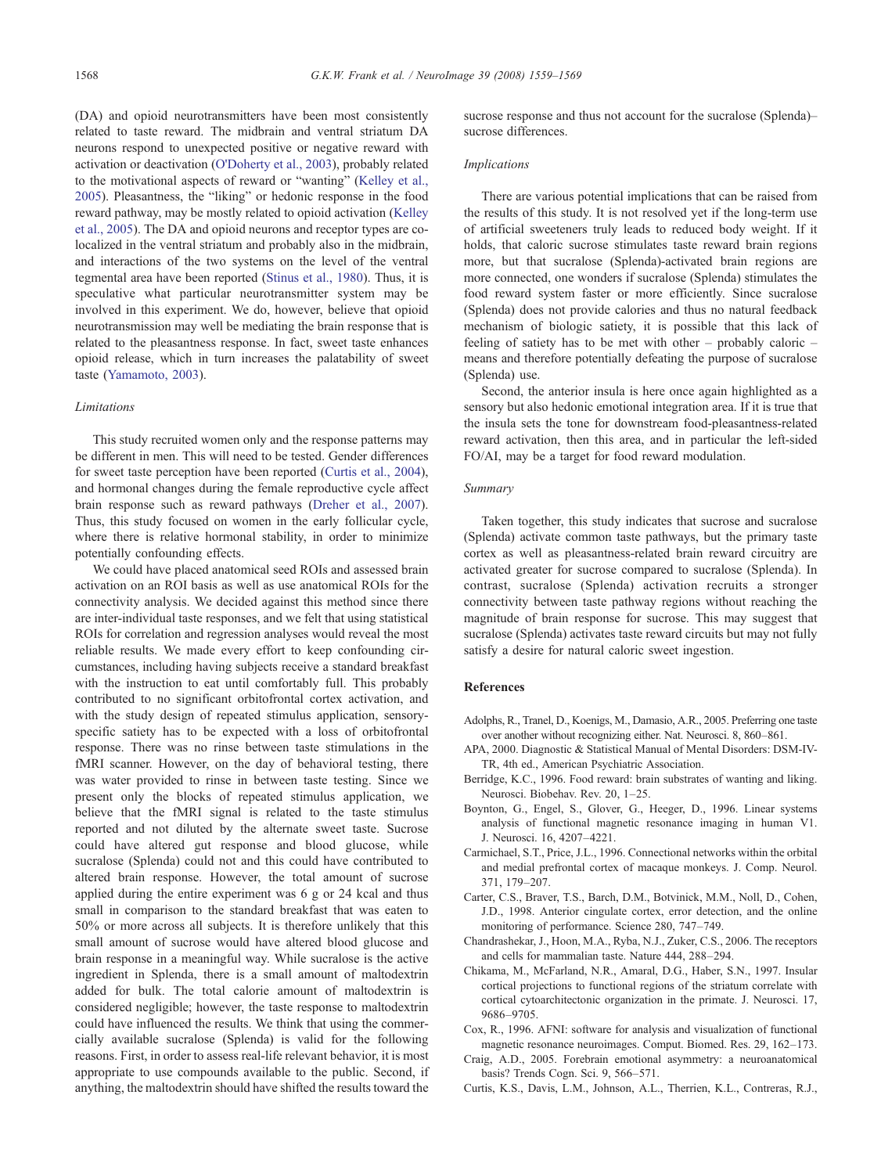<span id="page-9-0"></span>(DA) and opioid neurotransmitters have been most consistently related to taste reward. The midbrain and ventral striatum DA neurons respond to unexpected positive or negative reward with activation or deactivation ([O'Doherty et al., 2003\)](#page-10-0), probably related to the motivational aspects of reward or "wanting" ([Kelley et al.,](#page-10-0) [2005\)](#page-10-0). Pleasantness, the "liking" or hedonic response in the food reward pathway, may be mostly related to opioid activation [\(Kelley](#page-10-0) [et al., 2005](#page-10-0)). The DA and opioid neurons and receptor types are colocalized in the ventral striatum and probably also in the midbrain, and interactions of the two systems on the level of the ventral tegmental area have been reported [\(Stinus et al., 1980\)](#page-10-0). Thus, it is speculative what particular neurotransmitter system may be involved in this experiment. We do, however, believe that opioid neurotransmission may well be mediating the brain response that is related to the pleasantness response. In fact, sweet taste enhances opioid release, which in turn increases the palatability of sweet taste ([Yamamoto, 2003\)](#page-10-0).

#### Limitations

This study recruited women only and the response patterns may be different in men. This will need to be tested. Gender differences for sweet taste perception have been reported (Curtis et al., 2004), and hormonal changes during the female reproductive cycle affect brain response such as reward pathways ([Dreher et al., 2007\)](#page-10-0). Thus, this study focused on women in the early follicular cycle, where there is relative hormonal stability, in order to minimize potentially confounding effects.

We could have placed anatomical seed ROIs and assessed brain activation on an ROI basis as well as use anatomical ROIs for the connectivity analysis. We decided against this method since there are inter-individual taste responses, and we felt that using statistical ROIs for correlation and regression analyses would reveal the most reliable results. We made every effort to keep confounding circumstances, including having subjects receive a standard breakfast with the instruction to eat until comfortably full. This probably contributed to no significant orbitofrontal cortex activation, and with the study design of repeated stimulus application, sensoryspecific satiety has to be expected with a loss of orbitofrontal response. There was no rinse between taste stimulations in the fMRI scanner. However, on the day of behavioral testing, there was water provided to rinse in between taste testing. Since we present only the blocks of repeated stimulus application, we believe that the fMRI signal is related to the taste stimulus reported and not diluted by the alternate sweet taste. Sucrose could have altered gut response and blood glucose, while sucralose (Splenda) could not and this could have contributed to altered brain response. However, the total amount of sucrose applied during the entire experiment was 6 g or 24 kcal and thus small in comparison to the standard breakfast that was eaten to 50% or more across all subjects. It is therefore unlikely that this small amount of sucrose would have altered blood glucose and brain response in a meaningful way. While sucralose is the active ingredient in Splenda, there is a small amount of maltodextrin added for bulk. The total calorie amount of maltodextrin is considered negligible; however, the taste response to maltodextrin could have influenced the results. We think that using the commercially available sucralose (Splenda) is valid for the following reasons. First, in order to assess real-life relevant behavior, it is most appropriate to use compounds available to the public. Second, if anything, the maltodextrin should have shifted the results toward the sucrose response and thus not account for the sucralose (Splenda)– sucrose differences.

# Implications

There are various potential implications that can be raised from the results of this study. It is not resolved yet if the long-term use of artificial sweeteners truly leads to reduced body weight. If it holds, that caloric sucrose stimulates taste reward brain regions more, but that sucralose (Splenda)-activated brain regions are more connected, one wonders if sucralose (Splenda) stimulates the food reward system faster or more efficiently. Since sucralose (Splenda) does not provide calories and thus no natural feedback mechanism of biologic satiety, it is possible that this lack of feeling of satiety has to be met with other – probably caloric – means and therefore potentially defeating the purpose of sucralose (Splenda) use.

Second, the anterior insula is here once again highlighted as a sensory but also hedonic emotional integration area. If it is true that the insula sets the tone for downstream food-pleasantness-related reward activation, then this area, and in particular the left-sided FO/AI, may be a target for food reward modulation.

#### Summary

Taken together, this study indicates that sucrose and sucralose (Splenda) activate common taste pathways, but the primary taste cortex as well as pleasantness-related brain reward circuitry are activated greater for sucrose compared to sucralose (Splenda). In contrast, sucralose (Splenda) activation recruits a stronger connectivity between taste pathway regions without reaching the magnitude of brain response for sucrose. This may suggest that sucralose (Splenda) activates taste reward circuits but may not fully satisfy a desire for natural caloric sweet ingestion.

#### References

- Adolphs, R., Tranel, D., Koenigs, M., Damasio, A.R., 2005. Preferring one taste over another without recognizing either. Nat. Neurosci. 8, 860–861.
- APA, 2000. Diagnostic & Statistical Manual of Mental Disorders: DSM-IV-TR, 4th ed., American Psychiatric Association.
- Berridge, K.C., 1996. Food reward: brain substrates of wanting and liking. Neurosci. Biobehav. Rev. 20, 1–25.
- Boynton, G., Engel, S., Glover, G., Heeger, D., 1996. Linear systems analysis of functional magnetic resonance imaging in human V1. J. Neurosci. 16, 4207–4221.
- Carmichael, S.T., Price, J.L., 1996. Connectional networks within the orbital and medial prefrontal cortex of macaque monkeys. J. Comp. Neurol. 371, 179–207.
- Carter, C.S., Braver, T.S., Barch, D.M., Botvinick, M.M., Noll, D., Cohen, J.D., 1998. Anterior cingulate cortex, error detection, and the online monitoring of performance. Science 280, 747–749.
- Chandrashekar, J., Hoon, M.A., Ryba, N.J., Zuker, C.S., 2006. The receptors and cells for mammalian taste. Nature 444, 288–294.
- Chikama, M., McFarland, N.R., Amaral, D.G., Haber, S.N., 1997. Insular cortical projections to functional regions of the striatum correlate with cortical cytoarchitectonic organization in the primate. J. Neurosci. 17, 9686–9705.
- Cox, R., 1996. AFNI: software for analysis and visualization of functional magnetic resonance neuroimages. Comput. Biomed. Res. 29, 162–173.

Craig, A.D., 2005. Forebrain emotional asymmetry: a neuroanatomical basis? Trends Cogn. Sci. 9, 566–571.

Curtis, K.S., Davis, L.M., Johnson, A.L., Therrien, K.L., Contreras, R.J.,